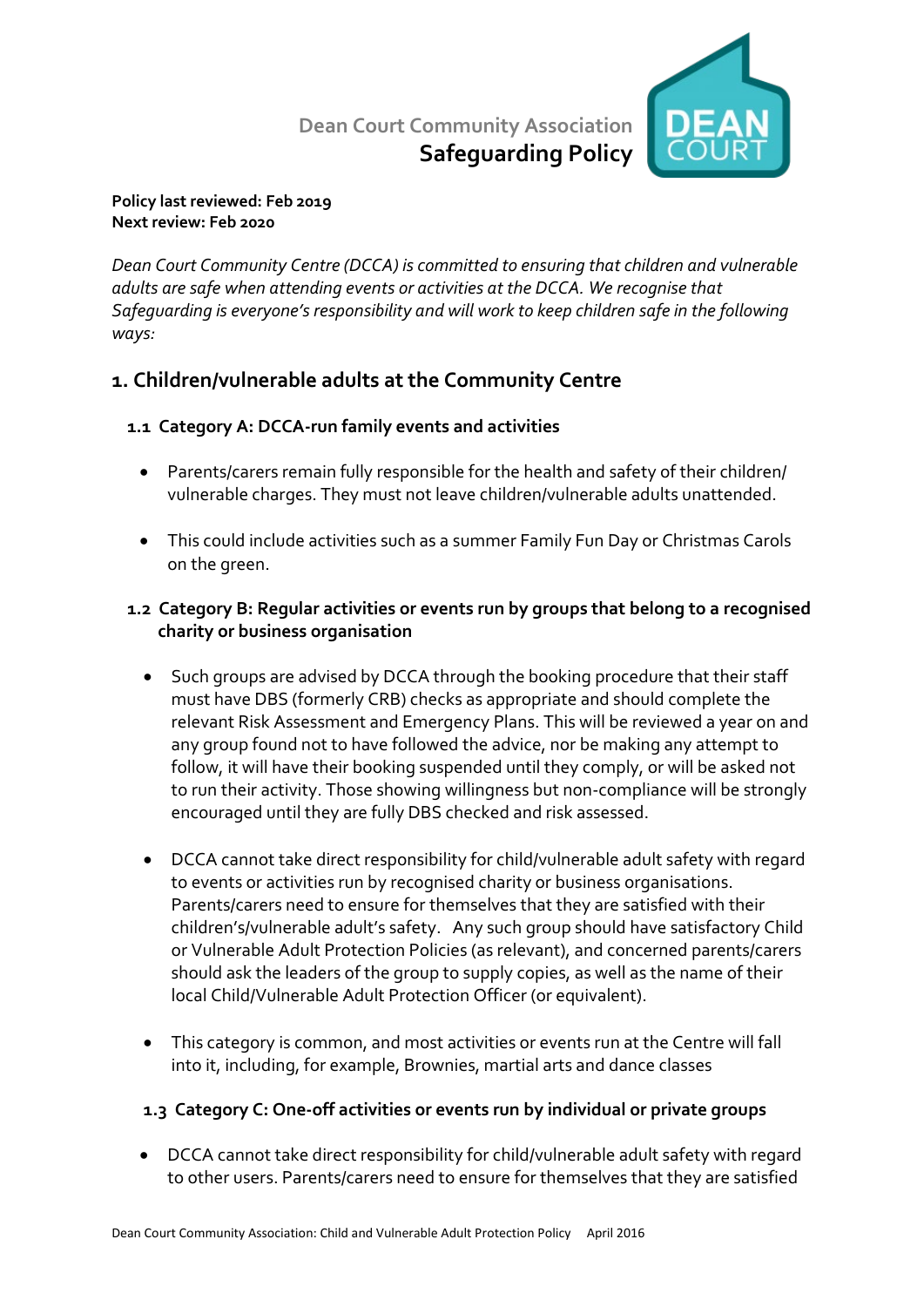# **Dean Court Community Association Safeguarding Policy**



#### **Policy last reviewed: Feb 2019 Next review: Feb 2020**

*Dean Court Community Centre (DCCA) is committed to ensuring that children and vulnerable adults are safe when attending events or activities at the DCCA. We recognise that Safeguarding is everyone's responsibility and will work to keep children safe in the following ways:*

# **1. Children/vulnerable adults at the Community Centre**

## **1.1 Category A: DCCA-run family events and activities**

- Parents/carers remain fully responsible for the health and safety of their children/ vulnerable charges. They must not leave children/vulnerable adults unattended.
- This could include activities such as a summer Family Fun Day or Christmas Carols on the green.

### **1.2 Category B: Regular activities or events run by groups that belong to a recognised charity or business organisation**

- Such groups are advised by DCCA through the booking procedure that their staff must have DBS (formerly CRB) checks as appropriate and should complete the relevant Risk Assessment and Emergency Plans. This will be reviewed a year on and any group found not to have followed the advice, nor be making any attempt to follow, it will have their booking suspended until they comply, or will be asked not to run their activity. Those showing willingness but non-compliance will be strongly encouraged until they are fully DBS checked and risk assessed.
- DCCA cannot take direct responsibility for child/vulnerable adult safety with regard to events or activities run by recognised charity or business organisations. Parents/carers need to ensure for themselves that they are satisfied with their children's/vulnerable adult's safety. Any such group should have satisfactory Child or Vulnerable Adult Protection Policies (as relevant), and concerned parents/carers should ask the leaders of the group to supply copies, as well as the name of their local Child/Vulnerable Adult Protection Officer (or equivalent).
- This category is common, and most activities or events run at the Centre will fall into it, including, for example, Brownies, martial arts and dance classes

## **1.3 Category C: One-off activities or events run by individual or private groups**

• DCCA cannot take direct responsibility for child/vulnerable adult safety with regard to other users. Parents/carers need to ensure for themselves that they are satisfied